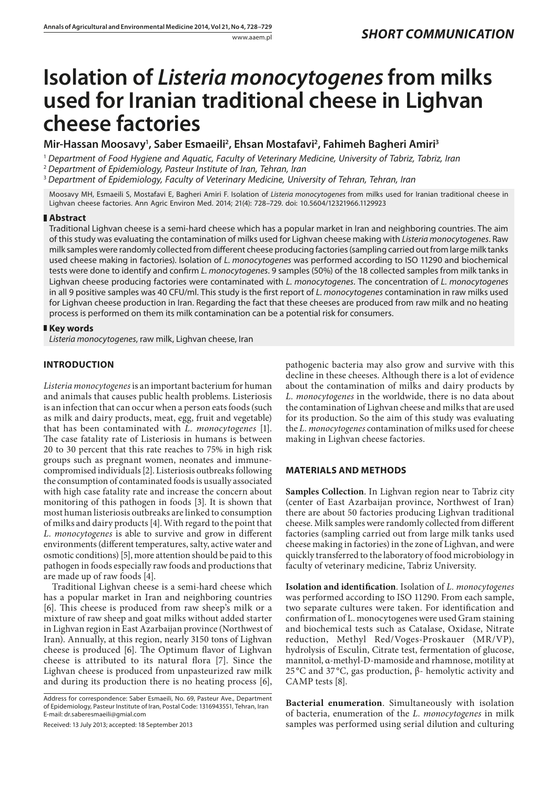# **Isolation of** *Listeria monocytogenes***from milks used for Iranian traditional cheese in Lighvan cheese factories**

**Mir-Hassan Moosavy1 , Saber Esmaeili2 , Ehsan Mostafavi2 , Fahimeh Bagheri Amiri3**

<sup>1</sup> *Department of Food Hygiene and Aquatic, Faculty of Veterinary Medicine, University of Tabriz, Tabriz, Iran*

<sup>2</sup> *Department of Epidemiology, Pasteur Institute of Iran, Tehran, Iran*

<sup>3</sup> *Department of Epidemiology, Faculty of Veterinary Medicine, University of Tehran, Tehran, Iran*

Moosavy MH, Esmaeili S, Mostafavi E, Bagheri Amiri F. Isolation of *Listeria monocytogenes* from milks used for Iranian traditional cheese in Lighvan cheese factories. Ann Agric Environ Med. 2014; 21(4): 728–729. doi: 10.5604/12321966.1129923

### **Abstract**

Traditional Lighvan cheese is a semi-hard cheese which has a popular market in Iran and neighboring countries. The aim of this study was evaluating the contamination of milks used for Lighvan cheese making with *Listeria monocytogenes*. Raw milk samples were randomly collected from different cheese producing factories (sampling carried out from large milk tanks used cheese making in factories). Isolation of *L. monocytogenes* was performed according to ISO 11290 and biochemical tests were done to identify and confirm *L. monocytogenes*. 9 samples (50%) of the 18 collected samples from milk tanks in Lighvan cheese producing factories were contaminated with *L. monocytogenes*. The concentration of *L. monocytogenes* in all 9 positive samples was 40 CFU/ml. This study is the first report of *L. monocytogenes* contamination in raw milks used for Lighvan cheese production in Iran. Regarding the fact that these cheeses are produced from raw milk and no heating process is performed on them its milk contamination can be a potential risk for consumers.

## **Key words**

*Listeria monocytogenes*, raw milk, Lighvan cheese, Iran

## **INTRODUCTION**

*Listeria monocytogenes* is an important bacterium for human and animals that causes public health problems. Listeriosis is an infection that can occur when a person eats foods (such as milk and dairy products, meat, egg, fruit and vegetable) that has been contaminated with *L. monocytogenes* [1]. The case fatality rate of Listeriosis in humans is between 20 to 30 percent that this rate reaches to 75% in high risk groups such as pregnant women, neonates and immunecompromised individuals [2]. Listeriosis outbreaks following the consumption of contaminated foods is usually associated with high case fatality rate and increase the concern about monitoring of this pathogen in foods [3]. It is shown that most human listeriosis outbreaks are linked to consumption of milks and dairy products [4]. With regard to the point that *L. monocytogenes* is able to survive and grow in different environments (different temperatures, salty, active water and osmotic conditions) [5], more attention should be paid to this pathogen in foods especially raw foods and productions that are made up of raw foods [4].

Traditional Lighvan cheese is a semi-hard cheese which has a popular market in Iran and neighboring countries [6]. This cheese is produced from raw sheep's milk or a mixture of raw sheep and goat milks without added starter in Lighvan region in East Azarbaijan province (Northwest of Iran). Annually, at this region, nearly 3150 tons of Lighvan cheese is produced [6]. The Optimum flavor of Lighvan cheese is attributed to its natural flora [7]. Since the Lighvan cheese is produced from unpasteurized raw milk and during its production there is no heating process [6],

Address for correspondence: Saber Esmaeili, No. 69, Pasteur Ave., Department of Epidemiology, Pasteur Institute of Iran, Postal Code: 1316943551, Tehran, Iran E-mail: dr.saberesmaeili@gmial.com

Received: 13 July 2013; accepted: 18 September 2013

pathogenic bacteria may also grow and survive with this decline in these cheeses. Although there is a lot of evidence about the contamination of milks and dairy products by *L. monocytogenes* in the worldwide, there is no data about the contamination of Lighvan cheese and milks that are used for its production. So the aim of this study was evaluating the *L. monocytogenes* contamination of milks used for cheese making in Lighvan cheese factories.

### **MATERIALS AND METHODS**

**Samples Collection**. In Lighvan region near to Tabriz city (center of East Azarbaijan province, Northwest of Iran) there are about 50 factories producing Lighvan traditional cheese. Milk samples were randomly collected from different factories (sampling carried out from large milk tanks used cheese making in factories) in the zone of Lighvan, and were quickly transferred to the laboratory of food microbiology in faculty of veterinary medicine, Tabriz University.

**Isolation and identification**. Isolation of *L. monocytogenes* was performed according to ISO 11290. From each sample, two separate cultures were taken. For identification and confirmation of L. monocytogenes were used Gram staining and biochemical tests such as Catalase, Oxidase, Nitrate reduction, Methyl Red/Voges-Proskauer (MR/VP), hydrolysis of Esculin, Citrate test, fermentation of glucose, mannitol, α-methyl-D-mamoside and rhamnose, motility at 25 °C and 37 °C, gas production, β- hemolytic activity and CAMP tests [8].

**Bacterial enumeration**. Simultaneously with isolation of bacteria, enumeration of the *L. monocytogenes* in milk samples was performed using serial dilution and culturing